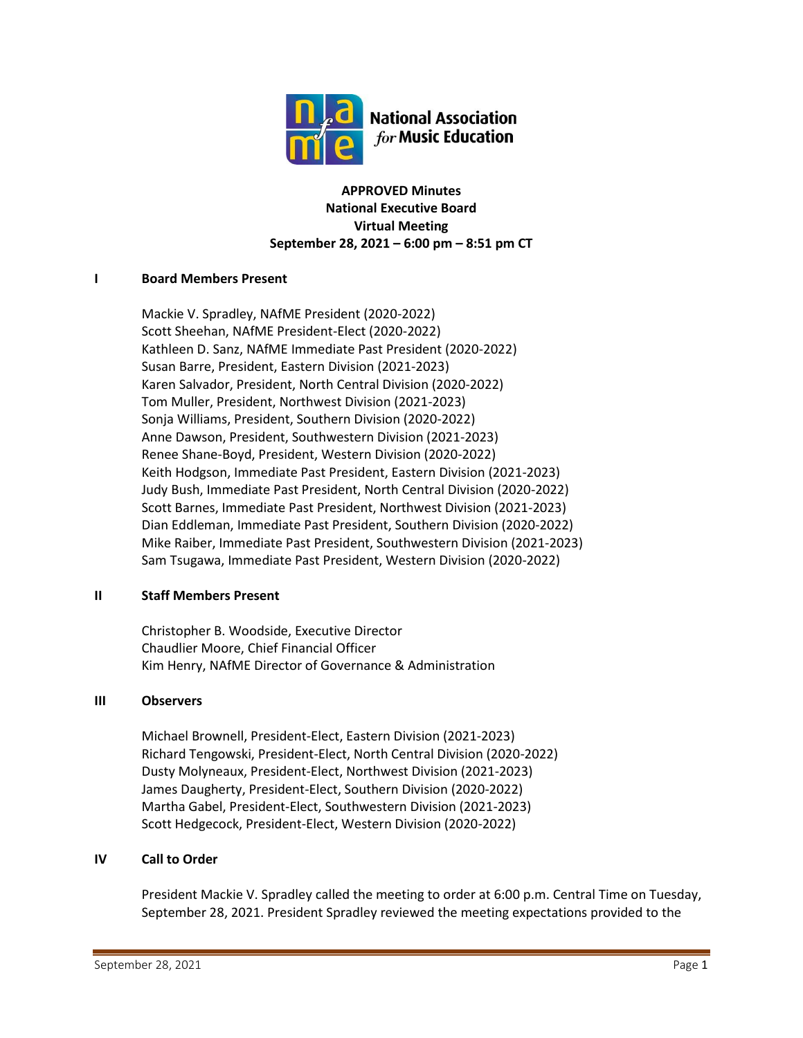

**APPROVED Minutes National Executive Board Virtual Meeting September 28, 2021 – 6:00 pm – 8:51 pm CT**

## **I Board Members Present**

Mackie V. Spradley, NAfME President (2020-2022) Scott Sheehan, NAfME President-Elect (2020-2022) Kathleen D. Sanz, NAfME Immediate Past President (2020-2022) Susan Barre, President, Eastern Division (2021-2023) Karen Salvador, President, North Central Division (2020-2022) Tom Muller, President, Northwest Division (2021-2023) Sonja Williams, President, Southern Division (2020-2022) Anne Dawson, President, Southwestern Division (2021-2023) Renee Shane-Boyd, President, Western Division (2020-2022) Keith Hodgson, Immediate Past President, Eastern Division (2021-2023) Judy Bush, Immediate Past President, North Central Division (2020-2022) Scott Barnes, Immediate Past President, Northwest Division (2021-2023) Dian Eddleman, Immediate Past President, Southern Division (2020-2022) Mike Raiber, Immediate Past President, Southwestern Division (2021-2023) Sam Tsugawa, Immediate Past President, Western Division (2020-2022)

## **II Staff Members Present**

Christopher B. Woodside, Executive Director Chaudlier Moore, Chief Financial Officer Kim Henry, NAfME Director of Governance & Administration

## **III Observers**

Michael Brownell, President-Elect, Eastern Division (2021-2023) Richard Tengowski, President-Elect, North Central Division (2020-2022) Dusty Molyneaux, President-Elect, Northwest Division (2021-2023) James Daugherty, President-Elect, Southern Division (2020-2022) Martha Gabel, President-Elect, Southwestern Division (2021-2023) Scott Hedgecock, President-Elect, Western Division (2020-2022)

## **IV Call to Order**

President Mackie V. Spradley called the meeting to order at 6:00 p.m. Central Time on Tuesday, September 28, 2021. President Spradley reviewed the meeting expectations provided to the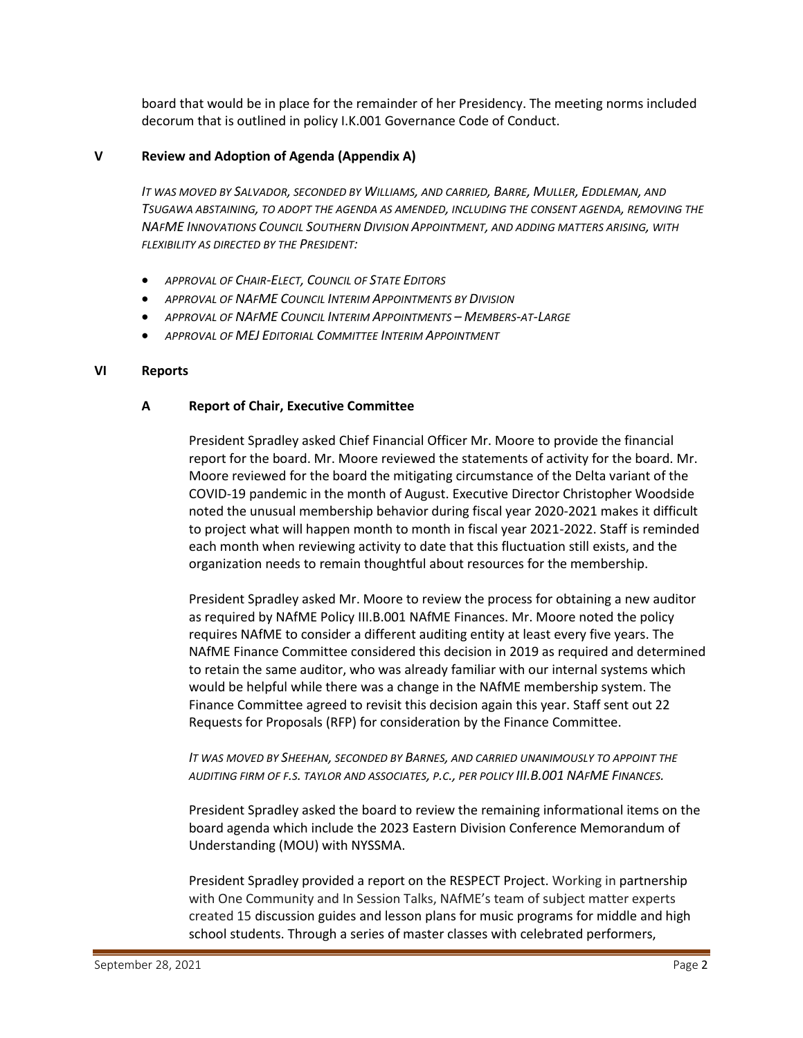board that would be in place for the remainder of her Presidency. The meeting norms included decorum that is outlined in policy I.K.001 Governance Code of Conduct.

#### **V Review and Adoption of Agenda (Appendix A)**

IT WAS MOVED BY SALVADOR, SECONDED BY WILLIAMS, AND CARRIED, BARRE, MULLER, EDDLEMAN, AND *TSUGAWA ABSTAINING, TO ADOPT THE AGENDA AS AMENDED, INCLUDING THE CONSENT AGENDA, REMOVING THE NAFME INNOVATIONS COUNCIL SOUTHERN DIVISION APPOINTMENT, AND ADDING MATTERS ARISING, WITH FLEXIBILITY AS DIRECTED BY THE PRESIDENT:*

- *APPROVAL OF CHAIR-ELECT, COUNCIL OF STATE EDITORS*
- *APPROVAL OF NAFME COUNCIL INTERIM APPOINTMENTS BY DIVISION*
- *APPROVAL OF NAFME COUNCIL INTERIM APPOINTMENTS – MEMBERS-AT-LARGE*
- *APPROVAL OF MEJ EDITORIAL COMMITTEE INTERIM APPOINTMENT*

#### **VI Reports**

## **A Report of Chair, Executive Committee**

President Spradley asked Chief Financial Officer Mr. Moore to provide the financial report for the board. Mr. Moore reviewed the statements of activity for the board. Mr. Moore reviewed for the board the mitigating circumstance of the Delta variant of the COVID-19 pandemic in the month of August. Executive Director Christopher Woodside noted the unusual membership behavior during fiscal year 2020-2021 makes it difficult to project what will happen month to month in fiscal year 2021-2022. Staff is reminded each month when reviewing activity to date that this fluctuation still exists, and the organization needs to remain thoughtful about resources for the membership.

President Spradley asked Mr. Moore to review the process for obtaining a new auditor as required by NAfME Policy III.B.001 NAfME Finances. Mr. Moore noted the policy requires NAfME to consider a different auditing entity at least every five years. The NAfME Finance Committee considered this decision in 2019 as required and determined to retain the same auditor, who was already familiar with our internal systems which would be helpful while there was a change in the NAfME membership system. The Finance Committee agreed to revisit this decision again this year. Staff sent out 22 Requests for Proposals (RFP) for consideration by the Finance Committee.

## *IT WAS MOVED BY SHEEHAN, SECONDED BY BARNES, AND CARRIED UNANIMOUSLY TO APPOINT THE AUDITING FIRM OF F.S. TAYLOR AND ASSOCIATES, P.C., PER POLICY III.B.001 NAFME FINANCES.*

President Spradley asked the board to review the remaining informational items on the board agenda which include the 2023 Eastern Division Conference Memorandum of Understanding (MOU) with NYSSMA.

President Spradley provided a report on the RESPECT Project. Working in partnership with One Community and In Session Talks, NAfME's team of subject matter experts created 15 discussion guides and lesson plans for music programs for middle and high school students. Through a series of master classes with celebrated performers,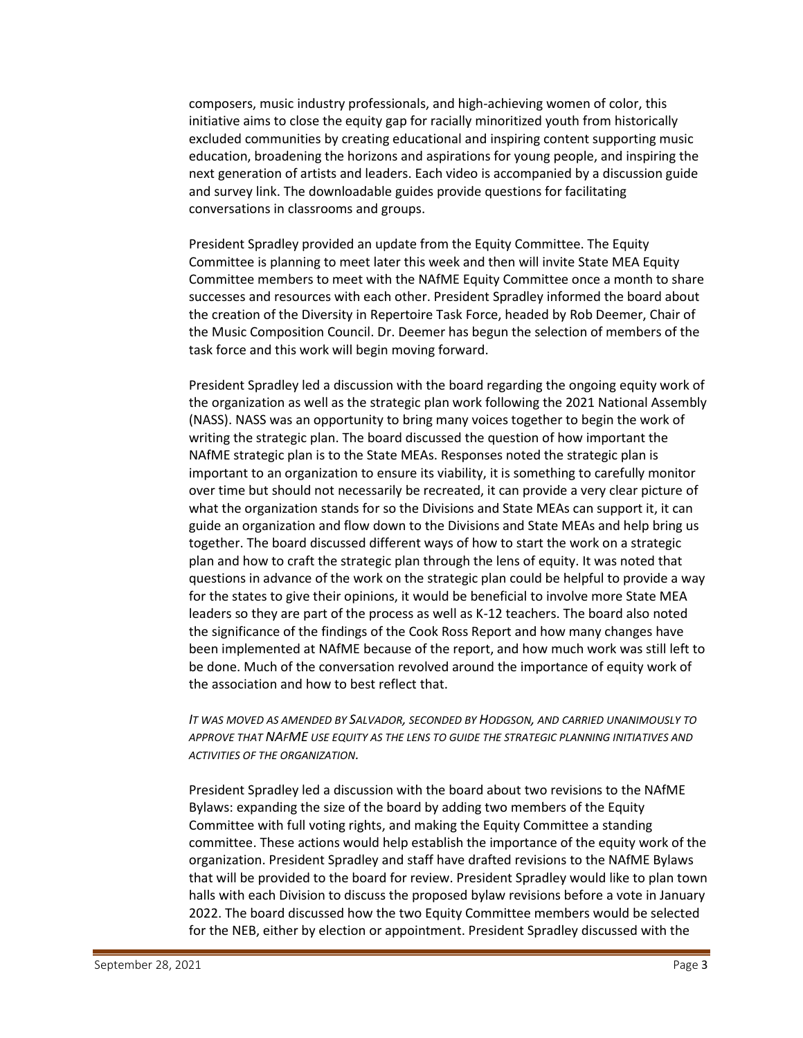composers, music industry professionals, and high-achieving women of color, this initiative aims to close the equity gap for racially minoritized youth from historically excluded communities by creating educational and inspiring content supporting music education, broadening the horizons and aspirations for young people, and inspiring the next generation of artists and leaders. Each video is accompanied by a discussion guide and survey link. The downloadable guides provide questions for facilitating conversations in classrooms and groups.

President Spradley provided an update from the Equity Committee. The Equity Committee is planning to meet later this week and then will invite State MEA Equity Committee members to meet with the NAfME Equity Committee once a month to share successes and resources with each other. President Spradley informed the board about the creation of the Diversity in Repertoire Task Force, headed by Rob Deemer, Chair of the Music Composition Council. Dr. Deemer has begun the selection of members of the task force and this work will begin moving forward.

President Spradley led a discussion with the board regarding the ongoing equity work of the organization as well as the strategic plan work following the 2021 National Assembly (NASS). NASS was an opportunity to bring many voices together to begin the work of writing the strategic plan. The board discussed the question of how important the NAfME strategic plan is to the State MEAs. Responses noted the strategic plan is important to an organization to ensure its viability, it is something to carefully monitor over time but should not necessarily be recreated, it can provide a very clear picture of what the organization stands for so the Divisions and State MEAs can support it, it can guide an organization and flow down to the Divisions and State MEAs and help bring us together. The board discussed different ways of how to start the work on a strategic plan and how to craft the strategic plan through the lens of equity. It was noted that questions in advance of the work on the strategic plan could be helpful to provide a way for the states to give their opinions, it would be beneficial to involve more State MEA leaders so they are part of the process as well as K-12 teachers. The board also noted the significance of the findings of the Cook Ross Report and how many changes have been implemented at NAfME because of the report, and how much work was still left to be done. Much of the conversation revolved around the importance of equity work of the association and how to best reflect that.

*IT WAS MOVED AS AMENDED BY SALVADOR, SECONDED BY HODGSON, AND CARRIED UNANIMOUSLY TO APPROVE THAT NAFME USE EQUITY AS THE LENS TO GUIDE THE STRATEGIC PLANNING INITIATIVES AND ACTIVITIES OF THE ORGANIZATION.*

President Spradley led a discussion with the board about two revisions to the NAfME Bylaws: expanding the size of the board by adding two members of the Equity Committee with full voting rights, and making the Equity Committee a standing committee. These actions would help establish the importance of the equity work of the organization. President Spradley and staff have drafted revisions to the NAfME Bylaws that will be provided to the board for review. President Spradley would like to plan town halls with each Division to discuss the proposed bylaw revisions before a vote in January 2022. The board discussed how the two Equity Committee members would be selected for the NEB, either by election or appointment. President Spradley discussed with the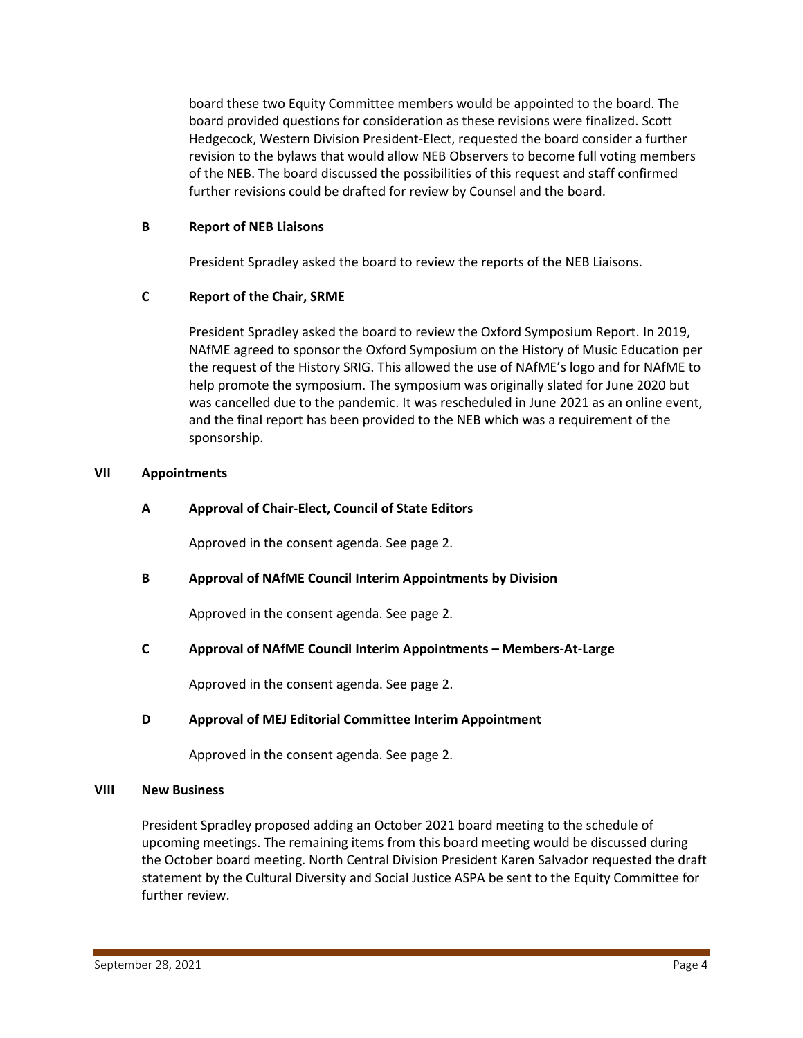board these two Equity Committee members would be appointed to the board. The board provided questions for consideration as these revisions were finalized. Scott Hedgecock, Western Division President-Elect, requested the board consider a further revision to the bylaws that would allow NEB Observers to become full voting members of the NEB. The board discussed the possibilities of this request and staff confirmed further revisions could be drafted for review by Counsel and the board.

## **B Report of NEB Liaisons**

President Spradley asked the board to review the reports of the NEB Liaisons.

## **C Report of the Chair, SRME**

President Spradley asked the board to review the Oxford Symposium Report. In 2019, NAfME agreed to sponsor the Oxford Symposium on the History of Music Education per the request of the History SRIG. This allowed the use of NAfME's logo and for NAfME to help promote the symposium. The symposium was originally slated for June 2020 but was cancelled due to the pandemic. It was rescheduled in June 2021 as an online event, and the final report has been provided to the NEB which was a requirement of the sponsorship.

## **VII Appointments**

## **A Approval of Chair-Elect, Council of State Editors**

Approved in the consent agenda. See page 2.

## **B Approval of NAfME Council Interim Appointments by Division**

Approved in the consent agenda. See page 2.

## **C Approval of NAfME Council Interim Appointments – Members-At-Large**

Approved in the consent agenda. See page 2.

## **D Approval of MEJ Editorial Committee Interim Appointment**

Approved in the consent agenda. See page 2.

## **VIII New Business**

President Spradley proposed adding an October 2021 board meeting to the schedule of upcoming meetings. The remaining items from this board meeting would be discussed during the October board meeting. North Central Division President Karen Salvador requested the draft statement by the Cultural Diversity and Social Justice ASPA be sent to the Equity Committee for further review.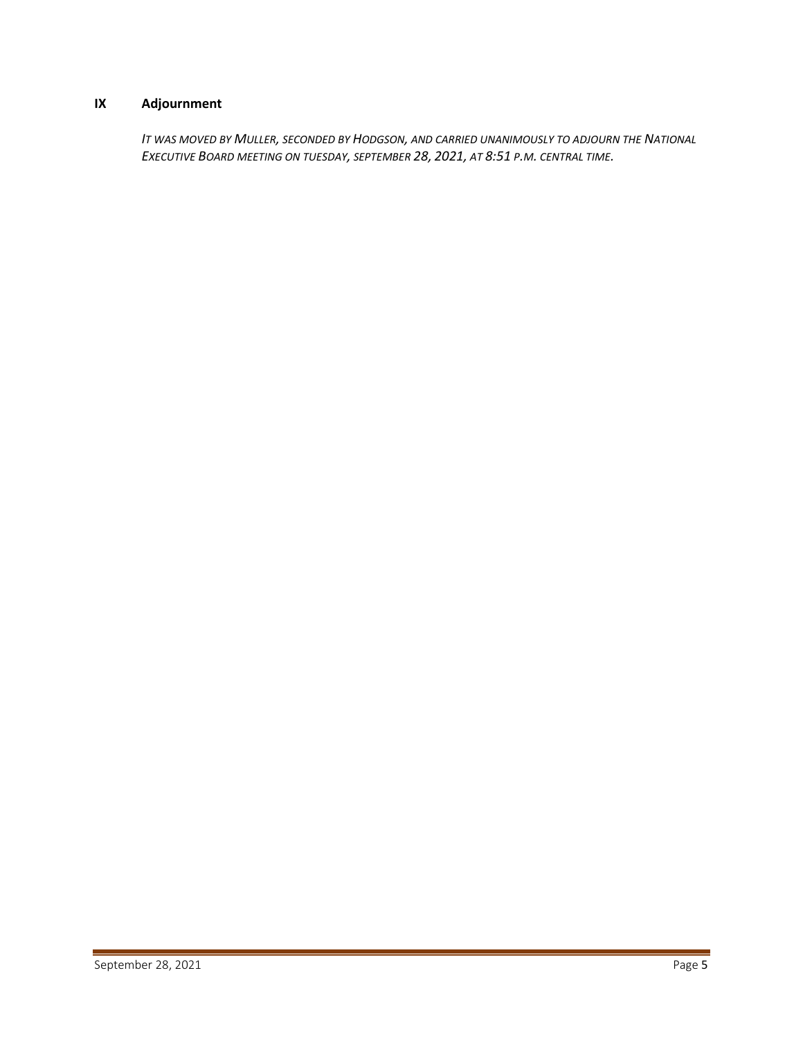# **IX Adjournment**

*IT WAS MOVED BY MULLER, SECONDED BY HODGSON, AND CARRIED UNANIMOUSLY TO ADJOURN THE NATIONAL EXECUTIVE BOARD MEETING ON TUESDAY, SEPTEMBER 28, 2021, AT 8:51 P.M. CENTRAL TIME.*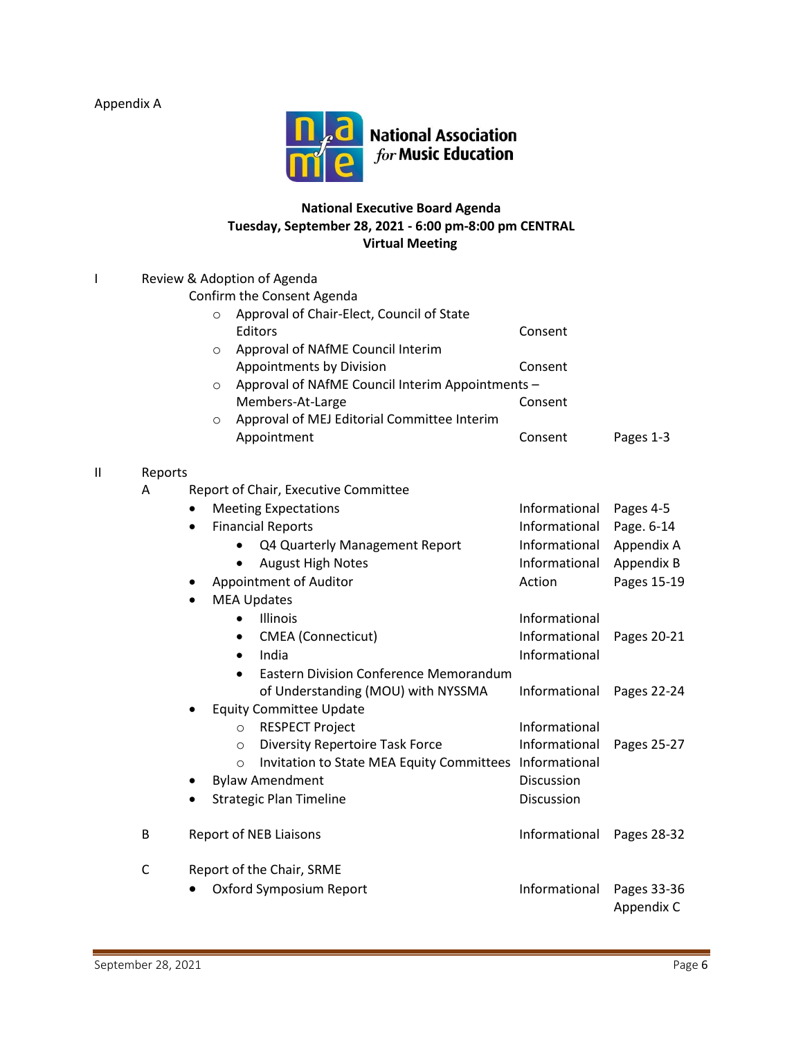Appendix A



# **National Executive Board Agenda Tuesday, September 28, 2021 - 6:00 pm-8:00 pm CENTRAL Virtual Meeting**

| L            | Review & Adoption of Agenda |                                                                    |               |                           |  |  |  |
|--------------|-----------------------------|--------------------------------------------------------------------|---------------|---------------------------|--|--|--|
|              |                             | Confirm the Consent Agenda                                         |               |                           |  |  |  |
|              |                             | Approval of Chair-Elect, Council of State<br>$\circ$               |               |                           |  |  |  |
|              |                             | Editors                                                            | Consent       |                           |  |  |  |
|              |                             | Approval of NAfME Council Interim<br>$\circ$                       |               |                           |  |  |  |
|              |                             | Appointments by Division                                           | Consent       |                           |  |  |  |
|              |                             | Approval of NAfME Council Interim Appointments -<br>$\circ$        |               |                           |  |  |  |
|              |                             | Members-At-Large                                                   | Consent       |                           |  |  |  |
|              |                             | Approval of MEJ Editorial Committee Interim<br>$\circ$             |               |                           |  |  |  |
|              |                             | Appointment                                                        | Consent       | Pages 1-3                 |  |  |  |
| $\mathbf{I}$ | Reports                     |                                                                    |               |                           |  |  |  |
|              | A                           | Report of Chair, Executive Committee                               |               |                           |  |  |  |
|              |                             | <b>Meeting Expectations</b>                                        | Informational | Pages 4-5                 |  |  |  |
|              |                             | <b>Financial Reports</b><br>$\bullet$                              | Informational | Page. 6-14                |  |  |  |
|              |                             | Q4 Quarterly Management Report<br>$\bullet$                        | Informational | Appendix A                |  |  |  |
|              |                             | <b>August High Notes</b><br>$\bullet$                              | Informational | Appendix B                |  |  |  |
|              |                             | Appointment of Auditor                                             | Action        | Pages 15-19               |  |  |  |
|              |                             | <b>MEA Updates</b><br>$\bullet$                                    |               |                           |  |  |  |
|              |                             | Illinois<br>$\bullet$                                              | Informational |                           |  |  |  |
|              |                             | <b>CMEA</b> (Connecticut)<br>$\bullet$                             | Informational | Pages 20-21               |  |  |  |
|              |                             | India<br>$\bullet$                                                 | Informational |                           |  |  |  |
|              |                             | <b>Eastern Division Conference Memorandum</b><br>$\bullet$         |               |                           |  |  |  |
|              |                             | of Understanding (MOU) with NYSSMA                                 | Informational | Pages 22-24               |  |  |  |
|              |                             | <b>Equity Committee Update</b>                                     |               |                           |  |  |  |
|              |                             | <b>RESPECT Project</b><br>$\circ$                                  | Informational |                           |  |  |  |
|              |                             | <b>Diversity Repertoire Task Force</b><br>$\circ$                  | Informational | Pages 25-27               |  |  |  |
|              |                             | Invitation to State MEA Equity Committees Informational<br>$\circ$ |               |                           |  |  |  |
|              |                             | <b>Bylaw Amendment</b>                                             | Discussion    |                           |  |  |  |
|              |                             | <b>Strategic Plan Timeline</b>                                     | Discussion    |                           |  |  |  |
|              | B                           | <b>Report of NEB Liaisons</b>                                      | Informational | Pages 28-32               |  |  |  |
|              | $\mathsf{C}$                | Report of the Chair, SRME                                          |               |                           |  |  |  |
|              |                             | Oxford Symposium Report                                            | Informational | Pages 33-36<br>Appendix C |  |  |  |